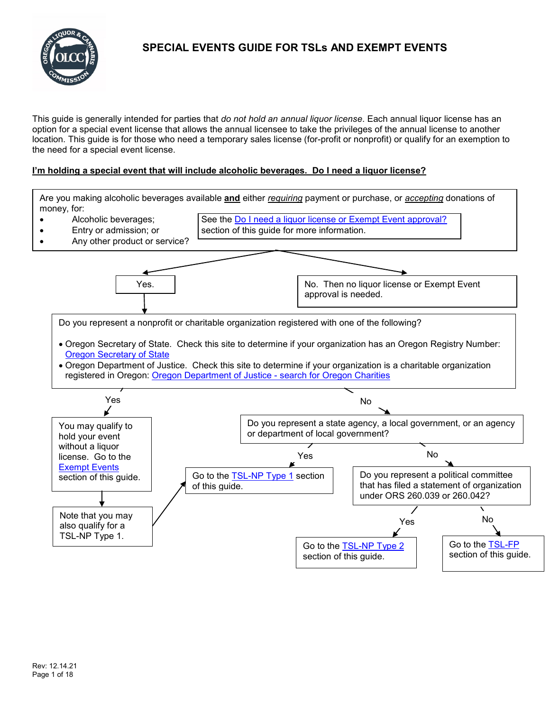

This guide is generally intended for parties that *do not hold an annual liquor license*. Each annual liquor license has an option for a special event license that allows the annual licensee to take the privileges of the annual license to another location. This guide is for those who need a temporary sales license (for-profit or nonprofit) or qualify for an exemption to the need for a special event license.

# **I'm holding a special event that will include alcoholic beverages. Do I need a liquor license?**

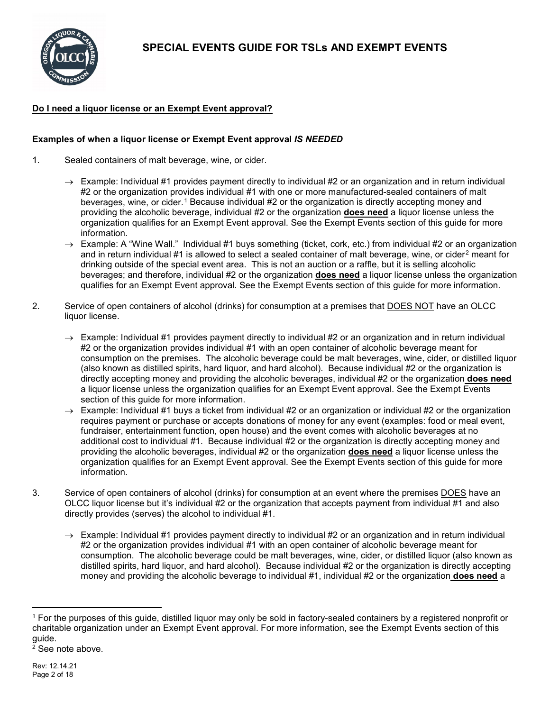

# <span id="page-1-0"></span>**Do I need a liquor license or an Exempt Event approval?**

# **Examples of when a liquor license or Exempt Event approval** *IS NEEDED*

- 1. Sealed containers of malt beverage, wine, or cider.
	- $\rightarrow$  Example: Individual #1 provides payment directly to individual #2 or an organization and in return individual #2 or the organization provides individual #1 with one or more manufactured-sealed containers of malt beverages, wine, or cider.<sup>[1](#page-1-1)</sup> Because individual #2 or the organization is directly accepting money and providing the alcoholic beverage, individual #2 or the organization **does need** a liquor license unless the organization qualifies for an Exempt Event approval. See the Exempt Events section of this guide for more information.
	- $\rightarrow$  Example: A "Wine Wall." Individual #1 buys something (ticket, cork, etc.) from individual #2 or an organization and in return individual #1 is allowed to select a sealed container of malt beverage, wine, or cider<sup>[2](#page-1-2)</sup> meant for drinking outside of the special event area. This is not an auction or a raffle, but it is selling alcoholic beverages; and therefore, individual #2 or the organization **does need** a liquor license unless the organization qualifies for an Exempt Event approval. See the Exempt Events section of this guide for more information.
- 2. Service of open containers of alcohol (drinks) for consumption at a premises that DOES NOT have an OLCC liquor license.
	- $\rightarrow$  Example: Individual #1 provides payment directly to individual #2 or an organization and in return individual #2 or the organization provides individual #1 with an open container of alcoholic beverage meant for consumption on the premises. The alcoholic beverage could be malt beverages, wine, cider, or distilled liquor (also known as distilled spirits, hard liquor, and hard alcohol). Because individual #2 or the organization is directly accepting money and providing the alcoholic beverages, individual #2 or the organization **does need** a liquor license unless the organization qualifies for an Exempt Event approval. See the Exempt Events section of this guide for more information.
	- $\rightarrow$  Example: Individual #1 buys a ticket from individual #2 or an organization or individual #2 or the organization requires payment or purchase or accepts donations of money for any event (examples: food or meal event, fundraiser, entertainment function, open house) and the event comes with alcoholic beverages at no additional cost to individual #1. Because individual #2 or the organization is directly accepting money and providing the alcoholic beverages, individual #2 or the organization **does need** a liquor license unless the organization qualifies for an Exempt Event approval. See the Exempt Events section of this guide for more information.
- 3. Service of open containers of alcohol (drinks) for consumption at an event where the premises DOES have an OLCC liquor license but it's individual #2 or the organization that accepts payment from individual #1 and also directly provides (serves) the alcohol to individual #1.
	- $\rightarrow$  Example: Individual #1 provides payment directly to individual #2 or an organization and in return individual #2 or the organization provides individual #1 with an open container of alcoholic beverage meant for consumption. The alcoholic beverage could be malt beverages, wine, cider, or distilled liquor (also known as distilled spirits, hard liquor, and hard alcohol). Because individual #2 or the organization is directly accepting money and providing the alcoholic beverage to individual #1, individual #2 or the organization **does need** a

<span id="page-1-2"></span><span id="page-1-1"></span> <sup>1</sup> For the purposes of this guide, distilled liquor may only be sold in factory-sealed containers by a registered nonprofit or charitable organization under an Exempt Event approval. For more information, see the Exempt Events section of this guide.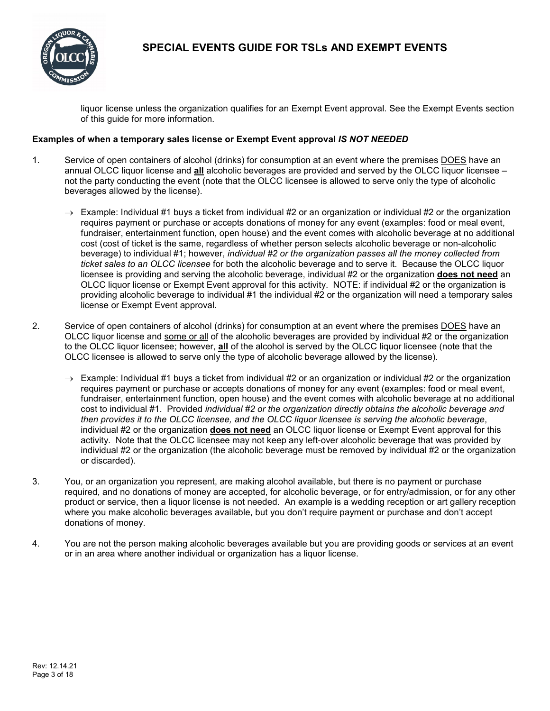

liquor license unless the organization qualifies for an Exempt Event approval. See the Exempt Events section of this guide for more information.

### **Examples of when a temporary sales license or Exempt Event approval** *IS NOT NEEDED*

- 1. Service of open containers of alcohol (drinks) for consumption at an event where the premises DOES have an annual OLCC liquor license and **all** alcoholic beverages are provided and served by the OLCC liquor licensee – not the party conducting the event (note that the OLCC licensee is allowed to serve only the type of alcoholic beverages allowed by the license).
	- $\rightarrow$  Example: Individual #1 buys a ticket from individual #2 or an organization or individual #2 or the organization requires payment or purchase or accepts donations of money for any event (examples: food or meal event, fundraiser, entertainment function, open house) and the event comes with alcoholic beverage at no additional cost (cost of ticket is the same, regardless of whether person selects alcoholic beverage or non-alcoholic beverage) to individual #1; however, *individual #2 or the organization passes all the money collected from ticket sales to an OLCC licensee* for both the alcoholic beverage and to serve it. Because the OLCC liquor licensee is providing and serving the alcoholic beverage, individual #2 or the organization **does not need** an OLCC liquor license or Exempt Event approval for this activity. NOTE: if individual #2 or the organization is providing alcoholic beverage to individual #1 the individual #2 or the organization will need a temporary sales license or Exempt Event approval.
- 2. Service of open containers of alcohol (drinks) for consumption at an event where the premises DOES have an OLCC liquor license and some or all of the alcoholic beverages are provided by individual #2 or the organization to the OLCC liquor licensee; however, **all** of the alcohol is served by the OLCC liquor licensee (note that the OLCC licensee is allowed to serve only the type of alcoholic beverage allowed by the license).
	- $\rightarrow$  Example: Individual #1 buys a ticket from individual #2 or an organization or individual #2 or the organization requires payment or purchase or accepts donations of money for any event (examples: food or meal event, fundraiser, entertainment function, open house) and the event comes with alcoholic beverage at no additional cost to individual #1. Provided *individual #2 or the organization directly obtains the alcoholic beverage and then provides it to the OLCC licensee, and the OLCC liquor licensee is serving the alcoholic beverage*, individual #2 or the organization **does not need** an OLCC liquor license or Exempt Event approval for this activity. Note that the OLCC licensee may not keep any left-over alcoholic beverage that was provided by individual #2 or the organization (the alcoholic beverage must be removed by individual #2 or the organization or discarded).
- 3. You, or an organization you represent, are making alcohol available, but there is no payment or purchase required, and no donations of money are accepted, for alcoholic beverage, or for entry/admission, or for any other product or service, then a liquor license is not needed. An example is a wedding reception or art gallery reception where you make alcoholic beverages available, but you don't require payment or purchase and don't accept donations of money.
- <span id="page-2-0"></span>4. You are not the person making alcoholic beverages available but you are providing goods or services at an event or in an area where another individual or organization has a liquor license.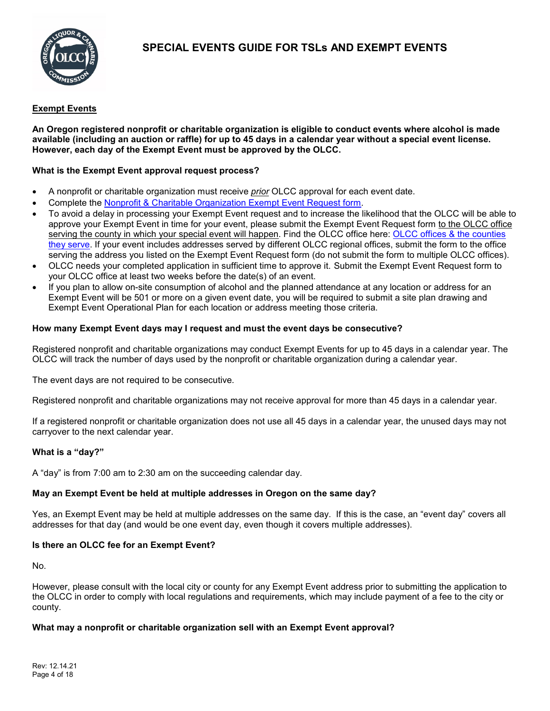

# **Exempt Events**

**An Oregon registered nonprofit or charitable organization is eligible to conduct events where alcohol is made available (including an auction or raffle) for up to 45 days in a calendar year without a special event license. However, each day of the Exempt Event must be approved by the OLCC.**

# **What is the Exempt Event approval request process?**

- A nonprofit or charitable organization must receive *prior* OLCC approval for each event date.
- Complete the [Nonprofit & Charitable Organization Exempt Event Request form.](https://www.oregon.gov/olcc/Docs/liquor_license_and_license_process/Nonprofit-and-Charitable-Orgs-Exempt-Events-Form.pdf)
- To avoid a delay in processing your Exempt Event request and to increase the likelihood that the OLCC will be able to approve your Exempt Event in time for your event, please submit the Exempt Event Request form to the OLCC office serving the county in which your special event will happen. Find the OLCC office here: OLCC offices & the counties [they serve.](https://www.oregon.gov/olcc/Pages/OLCC_Offices_ByCounty.aspx) If your event includes addresses served by different OLCC regional offices, submit the form to the office serving the address you listed on the Exempt Event Request form (do not submit the form to multiple OLCC offices).
- OLCC needs your completed application in sufficient time to approve it. Submit the Exempt Event Request form to your OLCC office at least two weeks before the date(s) of an event.
- If you plan to allow on-site consumption of alcohol and the planned attendance at any location or address for an Exempt Event will be 501 or more on a given event date, you will be required to submit a site plan drawing and Exempt Event Operational Plan for each location or address meeting those criteria.

# **How many Exempt Event days may I request and must the event days be consecutive?**

Registered nonprofit and charitable organizations may conduct Exempt Events for up to 45 days in a calendar year. The OLCC will track the number of days used by the nonprofit or charitable organization during a calendar year.

The event days are not required to be consecutive.

Registered nonprofit and charitable organizations may not receive approval for more than 45 days in a calendar year.

If a registered nonprofit or charitable organization does not use all 45 days in a calendar year, the unused days may not carryover to the next calendar year.

# **What is a "day?"**

A "day" is from 7:00 am to 2:30 am on the succeeding calendar day.

# **May an Exempt Event be held at multiple addresses in Oregon on the same day?**

Yes, an Exempt Event may be held at multiple addresses on the same day. If this is the case, an "event day" covers all addresses for that day (and would be one event day, even though it covers multiple addresses).

# **Is there an OLCC fee for an Exempt Event?**

No.

However, please consult with the local city or county for any Exempt Event address prior to submitting the application to the OLCC in order to comply with local regulations and requirements, which may include payment of a fee to the city or county.

# **What may a nonprofit or charitable organization sell with an Exempt Event approval?**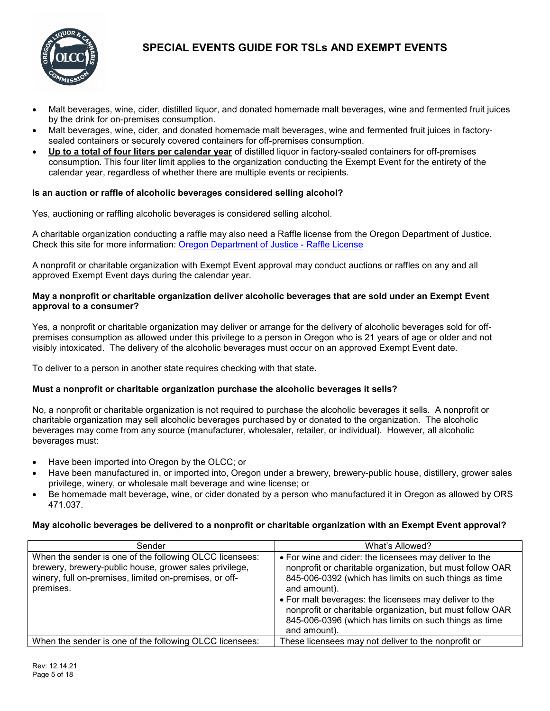

- Malt beverages, wine, cider, distilled liquor, and donated homemade malt beverages, wine and fermented fruit juices by the drink for on-premises consumption.
- Malt beverages, wine, cider, and donated homemade malt beverages, wine and fermented fruit juices in factorysealed containers or securely covered containers for off-premises consumption.
- **Up to a total of four liters per calendar year** of distilled liquor in factory-sealed containers for off-premises consumption. This four liter limit applies to the organization conducting the Exempt Event for the entirety of the calendar year, regardless of whether there are multiple events or recipients.

# **Is an auction or raffle of alcoholic beverages considered selling alcohol?**

Yes, auctioning or raffling alcoholic beverages is considered selling alcohol.

A charitable organization conducting a raffle may also need a Raffle license from the Oregon Department of Justice. Check this site for more information: [Oregon Department of Justice -](https://www.doj.state.or.us/charitable-activities/charitable-gaming/charitable-gaming-license-applications-and-reports/) Raffle License

A nonprofit or charitable organization with Exempt Event approval may conduct auctions or raffles on any and all approved Exempt Event days during the calendar year.

### **May a nonprofit or charitable organization deliver alcoholic beverages that are sold under an Exempt Event approval to a consumer?**

Yes, a nonprofit or charitable organization may deliver or arrange for the delivery of alcoholic beverages sold for offpremises consumption as allowed under this privilege to a person in Oregon who is 21 years of age or older and not visibly intoxicated. The delivery of the alcoholic beverages must occur on an approved Exempt Event date.

To deliver to a person in another state requires checking with that state.

# **Must a nonprofit or charitable organization purchase the alcoholic beverages it sells?**

No, a nonprofit or charitable organization is not required to purchase the alcoholic beverages it sells. A nonprofit or charitable organization may sell alcoholic beverages purchased by or donated to the organization. The alcoholic beverages may come from any source (manufacturer, wholesaler, retailer, or individual). However, all alcoholic beverages must:

- Have been imported into Oregon by the OLCC; or
- Have been manufactured in, or imported into, Oregon under a brewery, brewery-public house, distillery, grower sales privilege, winery, or wholesale malt beverage and wine license; or
- Be homemade malt beverage, wine, or cider donated by a person who manufactured it in Oregon as allowed by ORS 471.037.

### **May alcoholic beverages be delivered to a nonprofit or charitable organization with an Exempt Event approval?**

| Sender                                                                                                                                                                                   | What's Allowed?                                                                                                                                                                                                                                                                                                                                                                              |
|------------------------------------------------------------------------------------------------------------------------------------------------------------------------------------------|----------------------------------------------------------------------------------------------------------------------------------------------------------------------------------------------------------------------------------------------------------------------------------------------------------------------------------------------------------------------------------------------|
| When the sender is one of the following OLCC licensees:<br>brewery, brewery-public house, grower sales privilege,<br>winery, full on-premises, limited on-premises, or off-<br>premises. | • For wine and cider: the licensees may deliver to the<br>nonprofit or charitable organization, but must follow OAR<br>845-006-0392 (which has limits on such things as time<br>and amount).<br>• For malt beverages: the licensees may deliver to the<br>nonprofit or charitable organization, but must follow OAR<br>845-006-0396 (which has limits on such things as time<br>and amount). |
| When the sender is one of the following OLCC licensees:                                                                                                                                  | These licensees may not deliver to the nonprofit or                                                                                                                                                                                                                                                                                                                                          |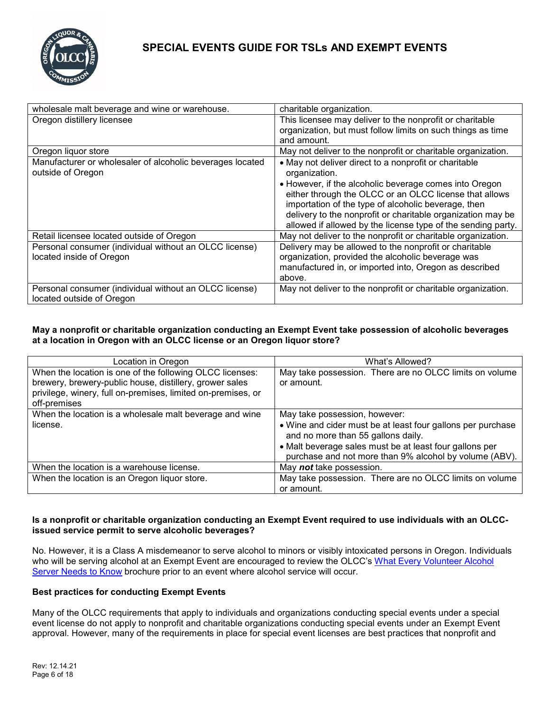

| wholesale malt beverage and wine or warehouse.                                      | charitable organization.                                                                                                                                                                                                                                                                               |
|-------------------------------------------------------------------------------------|--------------------------------------------------------------------------------------------------------------------------------------------------------------------------------------------------------------------------------------------------------------------------------------------------------|
| Oregon distillery licensee                                                          | This licensee may deliver to the nonprofit or charitable                                                                                                                                                                                                                                               |
|                                                                                     | organization, but must follow limits on such things as time                                                                                                                                                                                                                                            |
|                                                                                     | and amount.                                                                                                                                                                                                                                                                                            |
| Oregon liquor store                                                                 | May not deliver to the nonprofit or charitable organization.                                                                                                                                                                                                                                           |
| Manufacturer or wholesaler of alcoholic beverages located<br>outside of Oregon      | • May not deliver direct to a nonprofit or charitable<br>organization.                                                                                                                                                                                                                                 |
|                                                                                     | • However, if the alcoholic beverage comes into Oregon<br>either through the OLCC or an OLCC license that allows<br>importation of the type of alcoholic beverage, then<br>delivery to the nonprofit or charitable organization may be<br>allowed if allowed by the license type of the sending party. |
| Retail licensee located outside of Oregon                                           | May not deliver to the nonprofit or charitable organization.                                                                                                                                                                                                                                           |
| Personal consumer (individual without an OLCC license)<br>located inside of Oregon  | Delivery may be allowed to the nonprofit or charitable<br>organization, provided the alcoholic beverage was<br>manufactured in, or imported into, Oregon as described<br>above.                                                                                                                        |
| Personal consumer (individual without an OLCC license)<br>located outside of Oregon | May not deliver to the nonprofit or charitable organization.                                                                                                                                                                                                                                           |

## **May a nonprofit or charitable organization conducting an Exempt Event take possession of alcoholic beverages at a location in Oregon with an OLCC license or an Oregon liquor store?**

| Location in Oregon                                           | What's Allowed?                                                                                                   |
|--------------------------------------------------------------|-------------------------------------------------------------------------------------------------------------------|
| When the location is one of the following OLCC licenses:     | May take possession. There are no OLCC limits on volume                                                           |
| brewery, brewery-public house, distillery, grower sales      | or amount.                                                                                                        |
| privilege, winery, full on-premises, limited on-premises, or |                                                                                                                   |
| off-premises                                                 |                                                                                                                   |
| When the location is a wholesale malt beverage and wine      | May take possession, however:                                                                                     |
| license.                                                     | • Wine and cider must be at least four gallons per purchase<br>and no more than 55 gallons daily.                 |
|                                                              | • Malt beverage sales must be at least four gallons per<br>purchase and not more than 9% alcohol by volume (ABV). |
| When the location is a warehouse license.                    | May not take possession.                                                                                          |
| When the location is an Oregon liquor store.                 | May take possession. There are no OLCC limits on volume                                                           |
|                                                              | or amount.                                                                                                        |

### **Is a nonprofit or charitable organization conducting an Exempt Event required to use individuals with an OLCCissued service permit to serve alcoholic beverages?**

No. However, it is a Class A misdemeanor to serve alcohol to minors or visibly intoxicated persons in Oregon. Individuals who will be serving alcohol at an Exempt Event are encouraged to review the OLCC's [What Every Volunteer Alcohol](https://www.oregon.gov/olcc/docs/publications/What_Every_Volunteer_Server_Needs_To_Know.pdf)  [Server Needs to Know](https://www.oregon.gov/olcc/docs/publications/What_Every_Volunteer_Server_Needs_To_Know.pdf) brochure prior to an event where alcohol service will occur.

# <span id="page-5-0"></span>**Best practices for conducting Exempt Events**

Many of the OLCC requirements that apply to individuals and organizations conducting special events under a special event license do not apply to nonprofit and charitable organizations conducting special events under an Exempt Event approval. However, many of the requirements in place for special event licenses are best practices that nonprofit and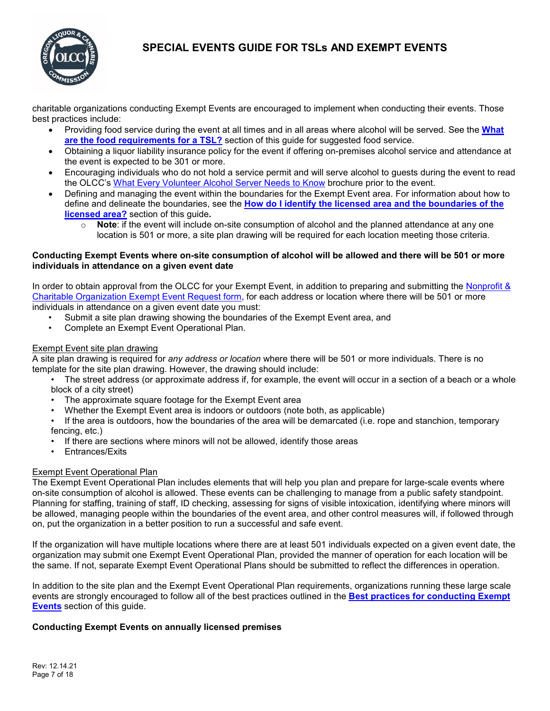

charitable organizations conducting Exempt Events are encouraged to implement when conducting their events. Those best practices include:

- Providing food service during the event at all times and in all areas where alcohol will be served. See the **[What](#page-16-0)  [are the food requirements for a TSL?](#page-16-0)** section of this guide for suggested food service.
- Obtaining a liquor liability insurance policy for the event if offering on-premises alcohol service and attendance at the event is expected to be 301 or more.
- Encouraging individuals who do not hold a service permit and will serve alcohol to guests during the event to read the OLCC's [What Every Volunteer Alcohol Server Needs to Know](https://www.oregon.gov/olcc/docs/publications/What_Every_Volunteer_Server_Needs_To_Know.pdf) brochure prior to the event.
- Defining and managing the event within the boundaries for the Exempt Event area. For information about how to define and delineate the boundaries, see the **[How do I identify the licensed area and the boundaries of the](#page-13-0)  [licensed area?](#page-13-0)** section of this guide**.**
	- o **Note**: if the event will include on-site consumption of alcohol and the planned attendance at any one location is 501 or more, a site plan drawing will be required for each location meeting those criteria.

### **Conducting Exempt Events where on-site consumption of alcohol will be allowed and there will be 501 or more individuals in attendance on a given event date**

In order to obtain approval from the OLCC for your Exempt Event, in addition to preparing and submitting the Nonprofit & [Charitable Organization Exempt Event Request form,](https://www.oregon.gov/olcc/Docs/liquor_license_and_license_process/Nonprofit-and-Charitable-Orgs-Exempt-Events-Form.pdf) for each address or location where there will be 501 or more individuals in attendance on a given event date you must:

- Submit a site plan drawing showing the boundaries of the Exempt Event area, and
- Complete an Exempt Event Operational Plan.

## Exempt Event site plan drawing

A site plan drawing is required for *any address or location* where there will be 501 or more individuals. There is no template for the site plan drawing. However, the drawing should include:

- The street address (or approximate address if, for example, the event will occur in a section of a beach or a whole block of a city street)
- The approximate square footage for the Exempt Event area
- Whether the Exempt Event area is indoors or outdoors (note both, as applicable)

• If the area is outdoors, how the boundaries of the area will be demarcated (i.e. rope and stanchion, temporary fencing, etc.)

- If there are sections where minors will not be allowed, identify those areas
- Entrances/Exits

### Exempt Event Operational Plan

The Exempt Event Operational Plan includes elements that will help you plan and prepare for large-scale events where on-site consumption of alcohol is allowed. These events can be challenging to manage from a public safety standpoint. Planning for staffing, training of staff, ID checking, assessing for signs of visible intoxication, identifying where minors will be allowed, managing people within the boundaries of the event area, and other control measures will, if followed through on, put the organization in a better position to run a successful and safe event.

If the organization will have multiple locations where there are at least 501 individuals expected on a given event date, the organization may submit one Exempt Event Operational Plan, provided the manner of operation for each location will be the same. If not, separate Exempt Event Operational Plans should be submitted to reflect the differences in operation.

In addition to the site plan and the Exempt Event Operational Plan requirements, organizations running these large scale events are strongly encouraged to follow all of the best practices outlined in the **[Best practices for conducting Exempt](#page-5-0)  [Events](#page-5-0)** section of this guide.

### **Conducting Exempt Events on annually licensed premises**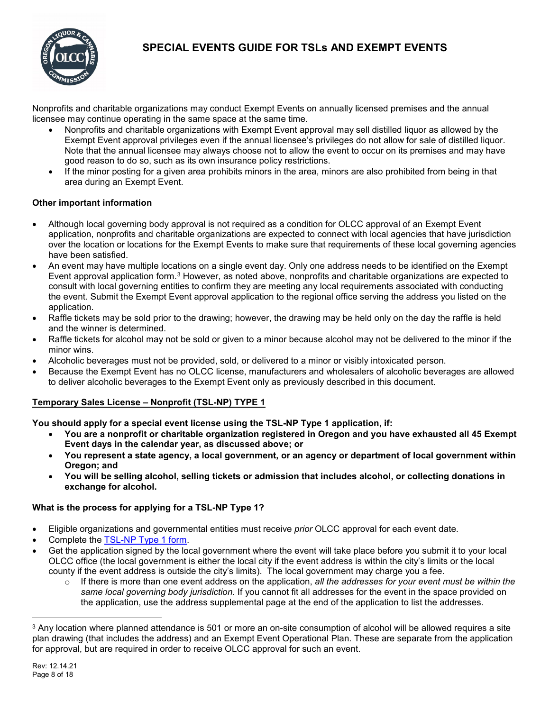

Nonprofits and charitable organizations may conduct Exempt Events on annually licensed premises and the annual licensee may continue operating in the same space at the same time.

- Nonprofits and charitable organizations with Exempt Event approval may sell distilled liquor as allowed by the Exempt Event approval privileges even if the annual licensee's privileges do not allow for sale of distilled liquor. Note that the annual licensee may always choose not to allow the event to occur on its premises and may have good reason to do so, such as its own insurance policy restrictions.
- If the minor posting for a given area prohibits minors in the area, minors are also prohibited from being in that area during an Exempt Event.

# **Other important information**

- Although local governing body approval is not required as a condition for OLCC approval of an Exempt Event application, nonprofits and charitable organizations are expected to connect with local agencies that have jurisdiction over the location or locations for the Exempt Events to make sure that requirements of these local governing agencies have been satisfied.
- An event may have multiple locations on a single event day. Only one address needs to be identified on the Exempt Event approval application form[.3](#page-7-1) However, as noted above, nonprofits and charitable organizations are expected to consult with local governing entities to confirm they are meeting any local requirements associated with conducting the event. Submit the Exempt Event approval application to the regional office serving the address you listed on the application.
- Raffle tickets may be sold prior to the drawing; however, the drawing may be held only on the day the raffle is held and the winner is determined.
- Raffle tickets for alcohol may not be sold or given to a minor because alcohol may not be delivered to the minor if the minor wins.
- Alcoholic beverages must not be provided, sold, or delivered to a minor or visibly intoxicated person.
- Because the Exempt Event has no OLCC license, manufacturers and wholesalers of alcoholic beverages are allowed to deliver alcoholic beverages to the Exempt Event only as previously described in this document.

# <span id="page-7-0"></span>**Temporary Sales License – Nonprofit (TSL-NP) TYPE 1**

**You should apply for a special event license using the TSL-NP Type 1 application, if:**

- **You are a nonprofit or charitable organization registered in Oregon and you have exhausted all 45 Exempt Event days in the calendar year, as discussed above; or**
- **You represent a state agency, a local government, or an agency or department of local government within Oregon; and**
- **You will be selling alcohol, selling tickets or admission that includes alcohol, or collecting donations in exchange for alcohol.**

### **What is the process for applying for a TSL-NP Type 1?**

- Eligible organizations and governmental entities must receive *prior* OLCC approval for each event date.
- Complete the [TSL-NP Type 1 form.](https://www.oregon.gov/olcc/Docs/liquor_license_and_license_process/TSL-NP-TYPE-1.pdf)
- Get the application signed by the local government where the event will take place before you submit it to your local OLCC office (the local government is either the local city if the event address is within the city's limits or the local county if the event address is outside the city's limits). The local government may charge you a fee.
	- o If there is more than one event address on the application, *all the addresses for your event must be within the same local governing body jurisdiction*. If you cannot fit all addresses for the event in the space provided on the application, use the address supplemental page at the end of the application to list the addresses.

<span id="page-7-1"></span> <sup>3</sup> Any location where planned attendance is 501 or more an on-site consumption of alcohol will be allowed requires a site plan drawing (that includes the address) and an Exempt Event Operational Plan. These are separate from the application for approval, but are required in order to receive OLCC approval for such an event.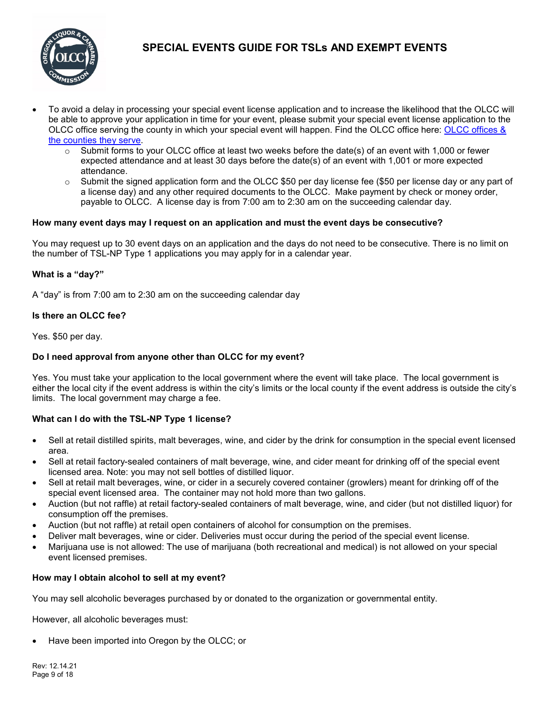

- To avoid a delay in processing your special event license application and to increase the likelihood that the OLCC will be able to approve your application in time for your event, please submit your special event license application to the OLCC office serving the county in which your special event will happen. Find the OLCC office here: [OLCC offices &](https://www.oregon.gov/olcc/Pages/OLCC_Offices_ByCounty.aspx)  [the counties they serve.](https://www.oregon.gov/olcc/Pages/OLCC_Offices_ByCounty.aspx)
	- $\circ$  Submit forms to your OLCC office at least two weeks before the date(s) of an event with 1,000 or fewer expected attendance and at least 30 days before the date(s) of an event with 1,001 or more expected attendance.
	- o Submit the signed application form and the OLCC \$50 per day license fee (\$50 per license day or any part of a license day) and any other required documents to the OLCC. Make payment by check or money order, payable to OLCC. A license day is from 7:00 am to 2:30 am on the succeeding calendar day.

## **How many event days may I request on an application and must the event days be consecutive?**

You may request up to 30 event days on an application and the days do not need to be consecutive. There is no limit on the number of TSL-NP Type 1 applications you may apply for in a calendar year.

## **What is a "day?"**

A "day" is from 7:00 am to 2:30 am on the succeeding calendar day

### **Is there an OLCC fee?**

Yes. \$50 per day.

### **Do I need approval from anyone other than OLCC for my event?**

Yes. You must take your application to the local government where the event will take place. The local government is either the local city if the event address is within the city's limits or the local county if the event address is outside the city's limits. The local government may charge a fee.

### **What can I do with the TSL-NP Type 1 license?**

- Sell at retail distilled spirits, malt beverages, wine, and cider by the drink for consumption in the special event licensed area.
- Sell at retail factory-sealed containers of malt beverage, wine, and cider meant for drinking off of the special event licensed area. Note: you may not sell bottles of distilled liquor.
- Sell at retail malt beverages, wine, or cider in a securely covered container (growlers) meant for drinking off of the special event licensed area. The container may not hold more than two gallons.
- Auction (but not raffle) at retail factory-sealed containers of malt beverage, wine, and cider (but not distilled liquor) for consumption off the premises.
- Auction (but not raffle) at retail open containers of alcohol for consumption on the premises.
- Deliver malt beverages, wine or cider. Deliveries must occur during the period of the special event license.
- Marijuana use is not allowed: The use of marijuana (both recreational and medical) is not allowed on your special event licensed premises.

### **How may I obtain alcohol to sell at my event?**

You may sell alcoholic beverages purchased by or donated to the organization or governmental entity.

However, all alcoholic beverages must:

• Have been imported into Oregon by the OLCC; or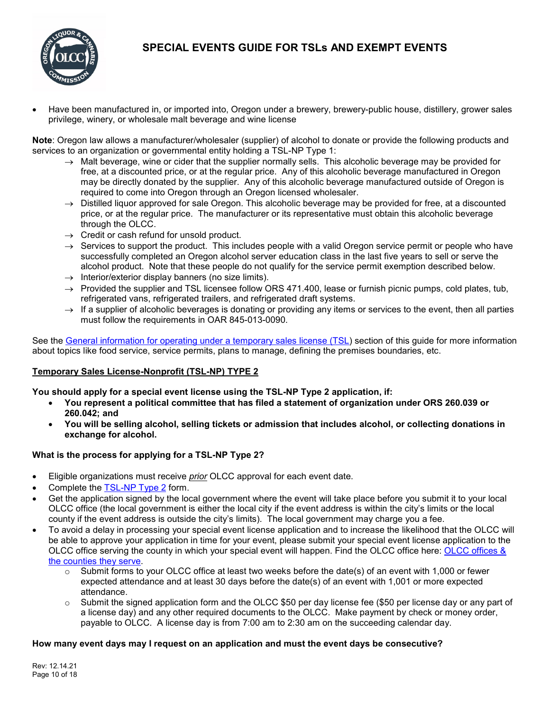

• Have been manufactured in, or imported into, Oregon under a brewery, brewery-public house, distillery, grower sales privilege, winery, or wholesale malt beverage and wine license

**Note**: Oregon law allows a manufacturer/wholesaler (supplier) of alcohol to donate or provide the following products and services to an organization or governmental entity holding a TSL-NP Type 1:

- $\rightarrow$  Malt beverage, wine or cider that the supplier normally sells. This alcoholic beverage may be provided for free, at a discounted price, or at the regular price. Any of this alcoholic beverage manufactured in Oregon may be directly donated by the supplier. Any of this alcoholic beverage manufactured outside of Oregon is required to come into Oregon through an Oregon licensed wholesaler.
- $\rightarrow$  Distilled liquor approved for sale Oregon. This alcoholic beverage may be provided for free, at a discounted price, or at the regular price. The manufacturer or its representative must obtain this alcoholic beverage through the OLCC.
- $\rightarrow$  Credit or cash refund for unsold product.
- $\rightarrow$  Services to support the product. This includes people with a valid Oregon service permit or people who have successfully completed an Oregon alcohol server education class in the last five years to sell or serve the alcohol product. Note that these people do not qualify for the service permit exemption described below.
- $\rightarrow$  Interior/exterior display banners (no size limits).
- $\rightarrow$  Provided the supplier and TSL licensee follow ORS 471.400, lease or furnish picnic pumps, cold plates, tub, refrigerated vans, refrigerated trailers, and refrigerated draft systems.
- $\rightarrow$  If a supplier of alcoholic beverages is donating or providing any items or services to the event, then all parties must follow the requirements in OAR 845-013-0090.

<span id="page-9-0"></span>See the [General information for operating under a temporary sales license \(TSL\)](#page-12-0) section of this guide for more information about topics like food service, service permits, plans to manage, defining the premises boundaries, etc.

## **Temporary Sales License-Nonprofit (TSL-NP) TYPE 2**

**You should apply for a special event license using the TSL-NP Type 2 application, if:**

- **You represent a political committee that has filed a statement of organization under ORS 260.039 or 260.042; and**
- **You will be selling alcohol, selling tickets or admission that includes alcohol, or collecting donations in exchange for alcohol.**

# **What is the process for applying for a TSL-NP Type 2?**

- Eligible organizations must receive *prior* OLCC approval for each event date.
- Complete the [TSL-NP Type 2](https://www.oregon.gov/olcc/Docs/liquor_license_and_license_process/TSL-NP-TYPE-2.pdf) form.
- Get the application signed by the local government where the event will take place before you submit it to your local OLCC office (the local government is either the local city if the event address is within the city's limits or the local county if the event address is outside the city's limits). The local government may charge you a fee.
- To avoid a delay in processing your special event license application and to increase the likelihood that the OLCC will be able to approve your application in time for your event, please submit your special event license application to the OLCC office serving the county in which your special event will happen. Find the OLCC office here: [OLCC offices &](https://www.oregon.gov/olcc/Pages/OLCC_Offices_ByCounty.aspx)  [the counties they serve.](https://www.oregon.gov/olcc/Pages/OLCC_Offices_ByCounty.aspx)
	- $\circ$  Submit forms to your OLCC office at least two weeks before the date(s) of an event with 1,000 or fewer expected attendance and at least 30 days before the date(s) of an event with 1,001 or more expected attendance.
	- $\circ$  Submit the signed application form and the OLCC \$50 per day license fee (\$50 per license day or any part of a license day) and any other required documents to the OLCC. Make payment by check or money order, payable to OLCC. A license day is from 7:00 am to 2:30 am on the succeeding calendar day.

### **How many event days may I request on an application and must the event days be consecutive?**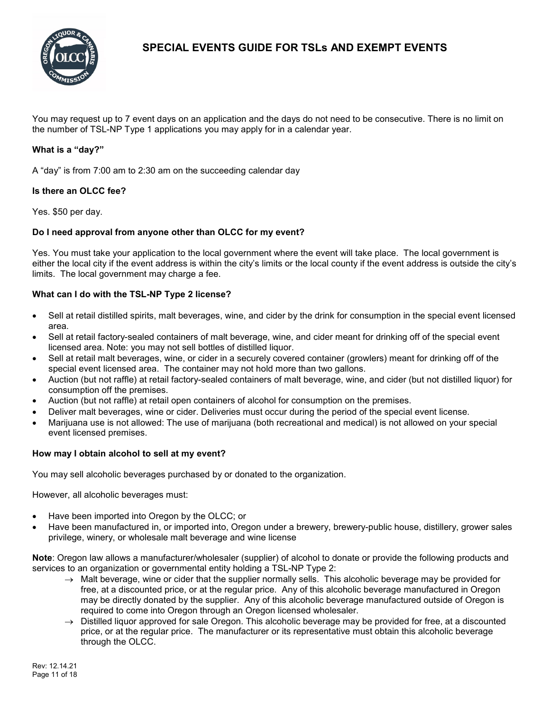

You may request up to 7 event days on an application and the days do not need to be consecutive. There is no limit on the number of TSL-NP Type 1 applications you may apply for in a calendar year.

## **What is a "day?"**

A "day" is from 7:00 am to 2:30 am on the succeeding calendar day

### **Is there an OLCC fee?**

Yes. \$50 per day.

## **Do I need approval from anyone other than OLCC for my event?**

Yes. You must take your application to the local government where the event will take place. The local government is either the local city if the event address is within the city's limits or the local county if the event address is outside the city's limits. The local government may charge a fee.

## **What can I do with the TSL-NP Type 2 license?**

- Sell at retail distilled spirits, malt beverages, wine, and cider by the drink for consumption in the special event licensed area.
- Sell at retail factory-sealed containers of malt beverage, wine, and cider meant for drinking off of the special event licensed area. Note: you may not sell bottles of distilled liquor.
- Sell at retail malt beverages, wine, or cider in a securely covered container (growlers) meant for drinking off of the special event licensed area. The container may not hold more than two gallons.
- Auction (but not raffle) at retail factory-sealed containers of malt beverage, wine, and cider (but not distilled liquor) for consumption off the premises.
- Auction (but not raffle) at retail open containers of alcohol for consumption on the premises.
- Deliver malt beverages, wine or cider. Deliveries must occur during the period of the special event license.
- Marijuana use is not allowed: The use of marijuana (both recreational and medical) is not allowed on your special event licensed premises.

### **How may I obtain alcohol to sell at my event?**

You may sell alcoholic beverages purchased by or donated to the organization.

However, all alcoholic beverages must:

- Have been imported into Oregon by the OLCC; or
- Have been manufactured in, or imported into, Oregon under a brewery, brewery-public house, distillery, grower sales privilege, winery, or wholesale malt beverage and wine license

**Note**: Oregon law allows a manufacturer/wholesaler (supplier) of alcohol to donate or provide the following products and services to an organization or governmental entity holding a TSL-NP Type 2:

- → Malt beverage, wine or cider that the supplier normally sells. This alcoholic beverage may be provided for free, at a discounted price, or at the regular price. Any of this alcoholic beverage manufactured in Oregon may be directly donated by the supplier. Any of this alcoholic beverage manufactured outside of Oregon is required to come into Oregon through an Oregon licensed wholesaler.
- $\rightarrow$  Distilled liquor approved for sale Oregon. This alcoholic beverage may be provided for free, at a discounted price, or at the regular price. The manufacturer or its representative must obtain this alcoholic beverage through the OLCC.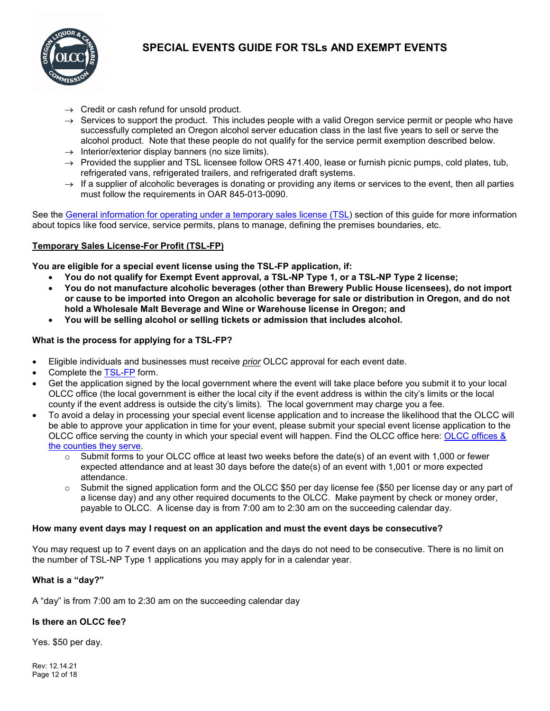

- $\rightarrow$  Credit or cash refund for unsold product.
- $\rightarrow$  Services to support the product. This includes people with a valid Oregon service permit or people who have successfully completed an Oregon alcohol server education class in the last five years to sell or serve the alcohol product. Note that these people do not qualify for the service permit exemption described below.
- $\rightarrow$  Interior/exterior display banners (no size limits).
- $\rightarrow$  Provided the supplier and TSL licensee follow ORS 471.400, lease or furnish picnic pumps, cold plates, tub, refrigerated vans, refrigerated trailers, and refrigerated draft systems.
- $\rightarrow$  If a supplier of alcoholic beverages is donating or providing any items or services to the event, then all parties must follow the requirements in OAR 845-013-0090.

See the General information for operating [under a temporary sales license \(TSL\)](#page-12-0) section of this guide for more information about topics like food service, service permits, plans to manage, defining the premises boundaries, etc.

## <span id="page-11-0"></span>**Temporary Sales License-For Profit (TSL-FP)**

**You are eligible for a special event license using the TSL-FP application, if:**

- **You do not qualify for Exempt Event approval, a TSL-NP Type 1, or a TSL-NP Type 2 license;**
- **You do not manufacture alcoholic beverages (other than Brewery Public House licensees), do not import or cause to be imported into Oregon an alcoholic beverage for sale or distribution in Oregon, and do not hold a Wholesale Malt Beverage and Wine or Warehouse license in Oregon; and**
- **You will be selling alcohol or selling tickets or admission that includes alcohol.**

## **What is the process for applying for a TSL-FP?**

- Eligible individuals and businesses must receive *prior* OLCC approval for each event date.
- Complete the [TSL-FP](https://www.oregon.gov/olcc/docs/liquor_license_and_license_process/TSL_FP.pdf) form.
- Get the application signed by the local government where the event will take place before you submit it to your local OLCC office (the local government is either the local city if the event address is within the city's limits or the local county if the event address is outside the city's limits). The local government may charge you a fee.
- To avoid a delay in processing your special event license application and to increase the likelihood that the OLCC will be able to approve your application in time for your event, please submit your special event license application to the OLCC office serving the county in which your special event will happen. Find the OLCC office here: [OLCC offices &](https://www.oregon.gov/olcc/Pages/OLCC_Offices_ByCounty.aspx)  [the counties they serve.](https://www.oregon.gov/olcc/Pages/OLCC_Offices_ByCounty.aspx)
	- $\circ$  Submit forms to your OLCC office at least two weeks before the date(s) of an event with 1,000 or fewer expected attendance and at least 30 days before the date(s) of an event with 1,001 or more expected attendance.
	- $\circ$  Submit the signed application form and the OLCC \$50 per day license fee (\$50 per license day or any part of a license day) and any other required documents to the OLCC. Make payment by check or money order, payable to OLCC. A license day is from 7:00 am to 2:30 am on the succeeding calendar day.

### **How many event days may I request on an application and must the event days be consecutive?**

You may request up to 7 event days on an application and the days do not need to be consecutive. There is no limit on the number of TSL-NP Type 1 applications you may apply for in a calendar year.

### **What is a "day?"**

A "day" is from 7:00 am to 2:30 am on the succeeding calendar day

# **Is there an OLCC fee?**

Yes. \$50 per day.

Rev: 12.14.21 Page 12 of 18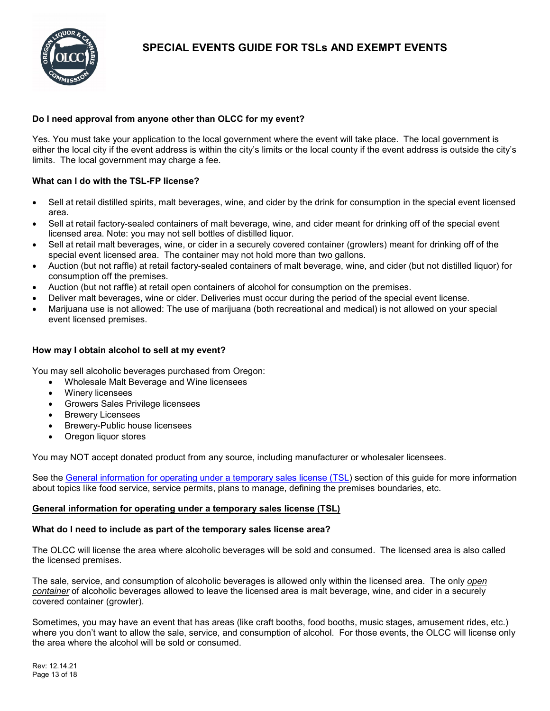

# **Do I need approval from anyone other than OLCC for my event?**

Yes. You must take your application to the local government where the event will take place. The local government is either the local city if the event address is within the city's limits or the local county if the event address is outside the city's limits. The local government may charge a fee.

# **What can I do with the TSL-FP license?**

- Sell at retail distilled spirits, malt beverages, wine, and cider by the drink for consumption in the special event licensed area.
- Sell at retail factory-sealed containers of malt beverage, wine, and cider meant for drinking off of the special event licensed area. Note: you may not sell bottles of distilled liquor.
- Sell at retail malt beverages, wine, or cider in a securely covered container (growlers) meant for drinking off of the special event licensed area. The container may not hold more than two gallons.
- Auction (but not raffle) at retail factory-sealed containers of malt beverage, wine, and cider (but not distilled liquor) for consumption off the premises.
- Auction (but not raffle) at retail open containers of alcohol for consumption on the premises.
- Deliver malt beverages, wine or cider. Deliveries must occur during the period of the special event license.
- Marijuana use is not allowed: The use of marijuana (both recreational and medical) is not allowed on your special event licensed premises.

# **How may I obtain alcohol to sell at my event?**

You may sell alcoholic beverages purchased from Oregon:

- Wholesale Malt Beverage and Wine licensees
- Winery licensees
- Growers Sales Privilege licensees
- **Brewery Licensees**
- Brewery-Public house licensees
- Oregon liquor stores

You may NOT accept donated product from any source, including manufacturer or wholesaler licensees.

See the [General information for operating under a temporary sales license \(TSL\)](#page-12-0) section of this guide for more information about topics like food service, service permits, plans to manage, defining the premises boundaries, etc.

# <span id="page-12-0"></span>**General information for operating under a temporary sales license (TSL)**

# **What do I need to include as part of the temporary sales license area?**

The OLCC will license the area where alcoholic beverages will be sold and consumed. The licensed area is also called the licensed premises.

The sale, service, and consumption of alcoholic beverages is allowed only within the licensed area. The only *open container* of alcoholic beverages allowed to leave the licensed area is malt beverage, wine, and cider in a securely covered container (growler).

Sometimes, you may have an event that has areas (like craft booths, food booths, music stages, amusement rides, etc.) where you don't want to allow the sale, service, and consumption of alcohol. For those events, the OLCC will license only the area where the alcohol will be sold or consumed.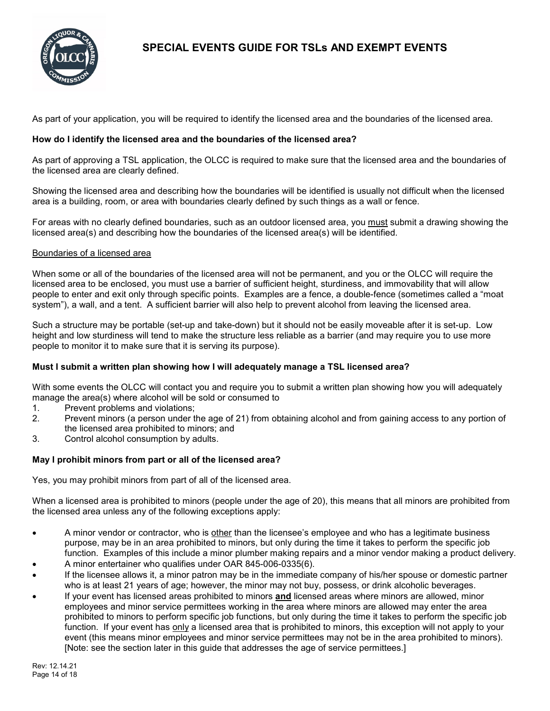

As part of your application, you will be required to identify the licensed area and the boundaries of the licensed area.

## <span id="page-13-0"></span>**How do I identify the licensed area and the boundaries of the licensed area?**

As part of approving a TSL application, the OLCC is required to make sure that the licensed area and the boundaries of the licensed area are clearly defined.

Showing the licensed area and describing how the boundaries will be identified is usually not difficult when the licensed area is a building, room, or area with boundaries clearly defined by such things as a wall or fence.

For areas with no clearly defined boundaries, such as an outdoor licensed area, you must submit a drawing showing the licensed area(s) and describing how the boundaries of the licensed area(s) will be identified.

### Boundaries of a licensed area

When some or all of the boundaries of the licensed area will not be permanent, and you or the OLCC will require the licensed area to be enclosed, you must use a barrier of sufficient height, sturdiness, and immovability that will allow people to enter and exit only through specific points. Examples are a fence, a double-fence (sometimes called a "moat system"), a wall, and a tent. A sufficient barrier will also help to prevent alcohol from leaving the licensed area.

Such a structure may be portable (set-up and take-down) but it should not be easily moveable after it is set-up. Low height and low sturdiness will tend to make the structure less reliable as a barrier (and may require you to use more people to monitor it to make sure that it is serving its purpose).

# **Must I submit a written plan showing how I will adequately manage a TSL licensed area?**

With some events the OLCC will contact you and require you to submit a written plan showing how you will adequately manage the area(s) where alcohol will be sold or consumed to

- 1. Prevent problems and violations;
- 2. Prevent minors (a person under the age of 21) from obtaining alcohol and from gaining access to any portion of the licensed area prohibited to minors; and
- 3. Control alcohol consumption by adults.

# **May I prohibit minors from part or all of the licensed area?**

Yes, you may prohibit minors from part of all of the licensed area.

When a licensed area is prohibited to minors (people under the age of 20), this means that all minors are prohibited from the licensed area unless any of the following exceptions apply:

- A minor vendor or contractor, who is other than the licensee's employee and who has a legitimate business purpose, may be in an area prohibited to minors, but only during the time it takes to perform the specific job function. Examples of this include a minor plumber making repairs and a minor vendor making a product delivery.
- A minor entertainer who qualifies under OAR 845-006-0335(6).
- If the licensee allows it, a minor patron may be in the immediate company of his/her spouse or domestic partner who is at least 21 years of age; however, the minor may not buy, possess, or drink alcoholic beverages.
- If your event has licensed areas prohibited to minors **and** licensed areas where minors are allowed, minor employees and minor service permittees working in the area where minors are allowed may enter the area prohibited to minors to perform specific job functions, but only during the time it takes to perform the specific job function. If your event has only a licensed area that is prohibited to minors, this exception will not apply to your event (this means minor employees and minor service permittees may not be in the area prohibited to minors). [Note: see the section later in this guide that addresses the age of service permittees.]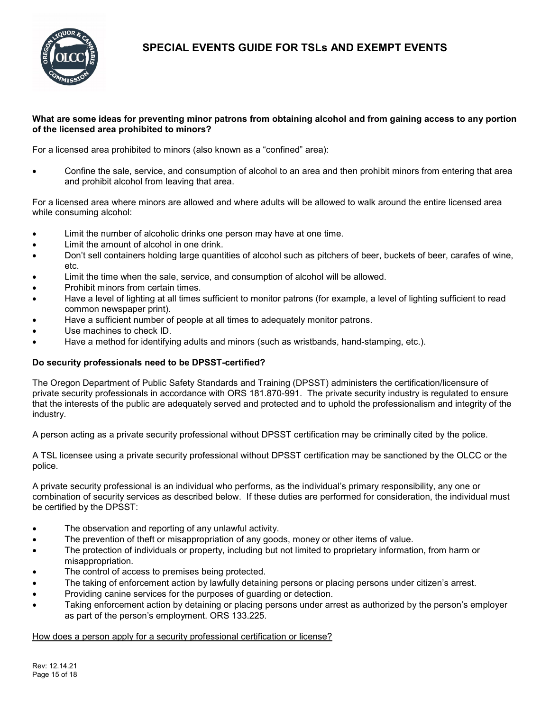

# **What are some ideas for preventing minor patrons from obtaining alcohol and from gaining access to any portion of the licensed area prohibited to minors?**

For a licensed area prohibited to minors (also known as a "confined" area):

• Confine the sale, service, and consumption of alcohol to an area and then prohibit minors from entering that area and prohibit alcohol from leaving that area.

For a licensed area where minors are allowed and where adults will be allowed to walk around the entire licensed area while consuming alcohol:

- Limit the number of alcoholic drinks one person may have at one time.
- Limit the amount of alcohol in one drink.
- Don't sell containers holding large quantities of alcohol such as pitchers of beer, buckets of beer, carafes of wine, etc.
- Limit the time when the sale, service, and consumption of alcohol will be allowed.
- Prohibit minors from certain times.
- Have a level of lighting at all times sufficient to monitor patrons (for example, a level of lighting sufficient to read common newspaper print).
- Have a sufficient number of people at all times to adequately monitor patrons.
- Use machines to check ID.
- Have a method for identifying adults and minors (such as wristbands, hand-stamping, etc.).

# **Do security professionals need to be DPSST-certified?**

The Oregon Department of Public Safety Standards and Training (DPSST) administers the certification/licensure of private security professionals in accordance with ORS 181.870-991. The private security industry is regulated to ensure that the interests of the public are adequately served and protected and to uphold the professionalism and integrity of the industry.

A person acting as a private security professional without DPSST certification may be criminally cited by the police.

A TSL licensee using a private security professional without DPSST certification may be sanctioned by the OLCC or the police.

A private security professional is an individual who performs, as the individual's primary responsibility, any one or combination of security services as described below. If these duties are performed for consideration, the individual must be certified by the DPSST:

- The observation and reporting of any unlawful activity.
- The prevention of theft or misappropriation of any goods, money or other items of value.
- The protection of individuals or property, including but not limited to proprietary information, from harm or misappropriation.
- The control of access to premises being protected.
- The taking of enforcement action by lawfully detaining persons or placing persons under citizen's arrest.
- Providing canine services for the purposes of guarding or detection.
- Taking enforcement action by detaining or placing persons under arrest as authorized by the person's employer as part of the person's employment. ORS 133.225.

How does a person apply for a security professional certification or license?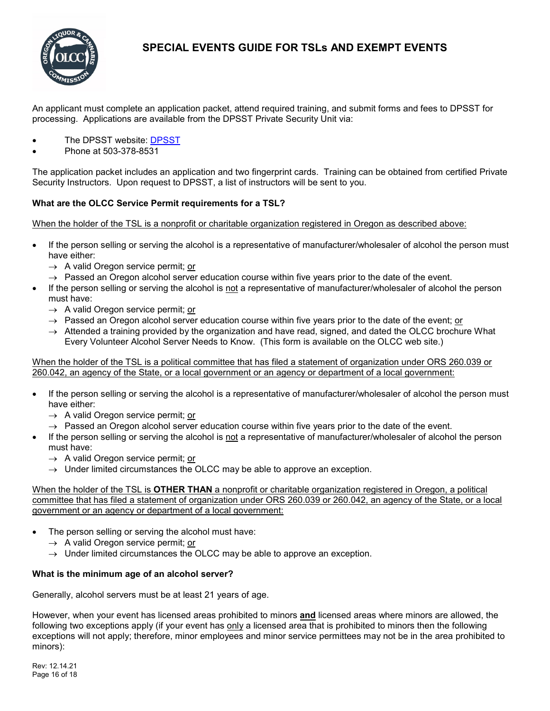

An applicant must complete an application packet, attend required training, and submit forms and fees to DPSST for processing. Applications are available from the DPSST Private Security Unit via:

- The [DPSST](https://www.oregon.gov/dpsst/Pages/default.aspx) website: DPSST
- Phone at 503-378-8531

The application packet includes an application and two fingerprint cards. Training can be obtained from certified Private Security Instructors. Upon request to DPSST, a list of instructors will be sent to you.

## **What are the OLCC Service Permit requirements for a TSL?**

When the holder of the TSL is a nonprofit or charitable organization registered in Oregon as described above:

- If the person selling or serving the alcohol is a representative of manufacturer/wholesaler of alcohol the person must have either:
	- $\rightarrow$  A valid Oregon service permit; or
	- $\rightarrow$  Passed an Oregon alcohol server education course within five years prior to the date of the event.
- If the person selling or serving the alcohol is not a representative of manufacturer/wholesaler of alcohol the person must have:
	- $\rightarrow$  A valid Oregon service permit; or
	- $\rightarrow$  Passed an Oregon alcohol server education course within five years prior to the date of the event; or
	- $\rightarrow$  Attended a training provided by the organization and have read, signed, and dated the OLCC brochure What Every Volunteer Alcohol Server Needs to Know. (This form is available on the OLCC web site.)

When the holder of the TSL is a political committee that has filed a statement of organization under ORS 260.039 or 260.042, an agency of the State, or a local government or an agency or department of a local government:

- If the person selling or serving the alcohol is a representative of manufacturer/wholesaler of alcohol the person must have either:
	- $\rightarrow$  A valid Oregon service permit; or
	- $\rightarrow$  Passed an Oregon alcohol server education course within five years prior to the date of the event.
- If the person selling or serving the alcohol is not a representative of manufacturer/wholesaler of alcohol the person must have:
	- $\rightarrow$  A valid Oregon service permit; or
	- $\rightarrow$  Under limited circumstances the OLCC may be able to approve an exception.

When the holder of the TSL is **OTHER THAN** a nonprofit or charitable organization registered in Oregon, a political committee that has filed a statement of organization under ORS 260.039 or 260.042, an agency of the State, or a local government or an agency or department of a local government:

- The person selling or serving the alcohol must have:
	- $\rightarrow$  A valid Oregon service permit; or
	- $\rightarrow$  Under limited circumstances the OLCC may be able to approve an exception.

### **What is the minimum age of an alcohol server?**

Generally, alcohol servers must be at least 21 years of age.

However, when your event has licensed areas prohibited to minors **and** licensed areas where minors are allowed, the following two exceptions apply (if your event has only a licensed area that is prohibited to minors then the following exceptions will not apply; therefore, minor employees and minor service permittees may not be in the area prohibited to minors):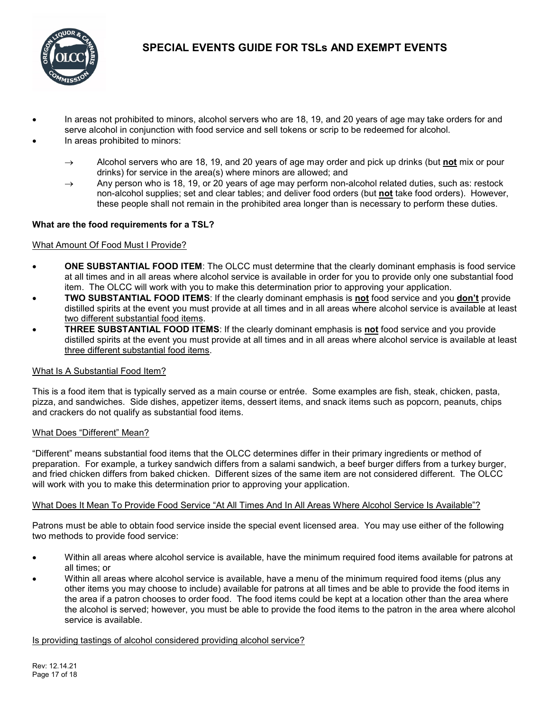

- In areas not prohibited to minors, alcohol servers who are 18, 19, and 20 years of age may take orders for and serve alcohol in conjunction with food service and sell tokens or scrip to be redeemed for alcohol.
- In areas prohibited to minors:
	- → Alcohol servers who are 18, 19, and 20 years of age may order and pick up drinks (but **not** mix or pour drinks) for service in the area(s) where minors are allowed; and
	- $\rightarrow$  Any person who is 18, 19, or 20 years of age may perform non-alcohol related duties, such as: restock non-alcohol supplies; set and clear tables; and deliver food orders (but **not** take food orders). However, these people shall not remain in the prohibited area longer than is necessary to perform these duties.

## <span id="page-16-0"></span>**What are the food requirements for a TSL?**

### What Amount Of Food Must I Provide?

- **ONE SUBSTANTIAL FOOD ITEM**: The OLCC must determine that the clearly dominant emphasis is food service at all times and in all areas where alcohol service is available in order for you to provide only one substantial food item. The OLCC will work with you to make this determination prior to approving your application.
- **TWO SUBSTANTIAL FOOD ITEMS**: If the clearly dominant emphasis is **not** food service and you **don't** provide distilled spirits at the event you must provide at all times and in all areas where alcohol service is available at least two different substantial food items.
- **THREE SUBSTANTIAL FOOD ITEMS**: If the clearly dominant emphasis is **not** food service and you provide distilled spirits at the event you must provide at all times and in all areas where alcohol service is available at least three different substantial food items.

### What Is A Substantial Food Item?

This is a food item that is typically served as a main course or entrée. Some examples are fish, steak, chicken, pasta, pizza, and sandwiches. Side dishes, appetizer items, dessert items, and snack items such as popcorn, peanuts, chips and crackers do not qualify as substantial food items.

### What Does "Different" Mean?

"Different" means substantial food items that the OLCC determines differ in their primary ingredients or method of preparation. For example, a turkey sandwich differs from a salami sandwich, a beef burger differs from a turkey burger, and fried chicken differs from baked chicken. Different sizes of the same item are not considered different. The OLCC will work with you to make this determination prior to approving your application.

### What Does It Mean To Provide Food Service "At All Times And In All Areas Where Alcohol Service Is Available"?

Patrons must be able to obtain food service inside the special event licensed area. You may use either of the following two methods to provide food service:

- Within all areas where alcohol service is available, have the minimum required food items available for patrons at all times; or
- Within all areas where alcohol service is available, have a menu of the minimum required food items (plus any other items you may choose to include) available for patrons at all times and be able to provide the food items in the area if a patron chooses to order food. The food items could be kept at a location other than the area where the alcohol is served; however, you must be able to provide the food items to the patron in the area where alcohol service is available.

### Is providing tastings of alcohol considered providing alcohol service?